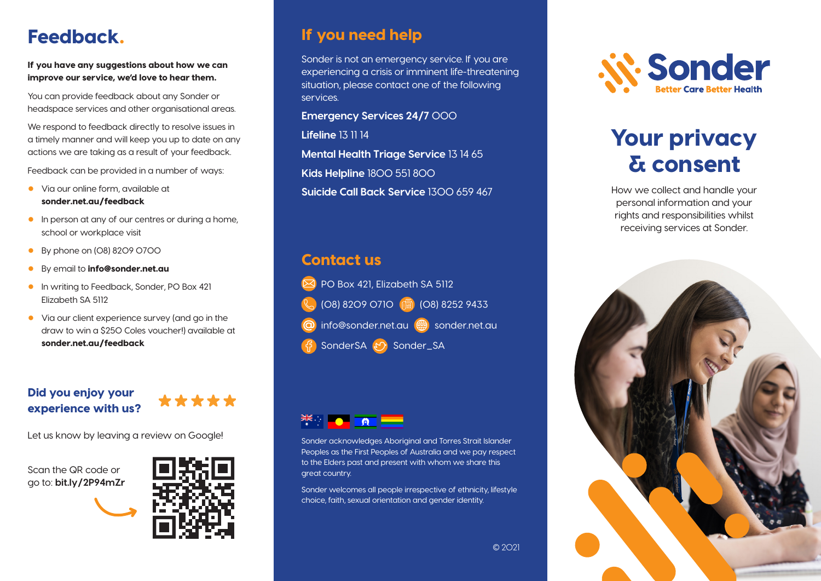# Feedback.

If you have any suggestions about how we can improve our service, we'd love to hear them.

You can provide feedback about any Sonder or headspace services and other organisational areas.

We respond to feedback directly to resolve issues in a timely manner and will keep you up to date on any actions we are taking as a result of your feedback.

Feedback can be provided in a number of ways:

- Via our online form, available at sonder.net.au/feedback
- In person at any of our centres or during a home, school or workplace visit
- By phone on (08) 8209 0700
- By email to **info@sonder.net.au**
- In writing to Feedback, Sonder, PO Box 421 Elizabeth SA 5112
- Via our client experience survey (and go in the draw to win a \$250 Coles voucher!) available at sonder.net.au/feedback

#### Did you enjoy your experience with us?



Let us know by leaving a review on Google!

Scan the QR code or go to: **bit.ly/2P94mZr**



### If you need help

Sonder is not an emergency service. If you are experiencing a crisis or imminent life-threatening situation, please contact one of the following services.

**Emergency Services 24/7** 000

**Lifeline** 13 11 14

**Mental Health Triage Service** 13 14 65

**Kids Helpline** 1800 551 800

**Suicide Call Back Service** 1300 659 467

### Contact us





Sonder acknowledges Aboriginal and Torres Strait Islander Peoples as the First Peoples of Australia and we pay respect to the Elders past and present with whom we share this great country.

Sonder welcomes all people irrespective of ethnicity, lifestyle choice, faith, sexual orientation and gender identity.



# Your privacy & consent

How we collect and handle your personal information and your rights and responsibilities whilst receiving services at Sonder.